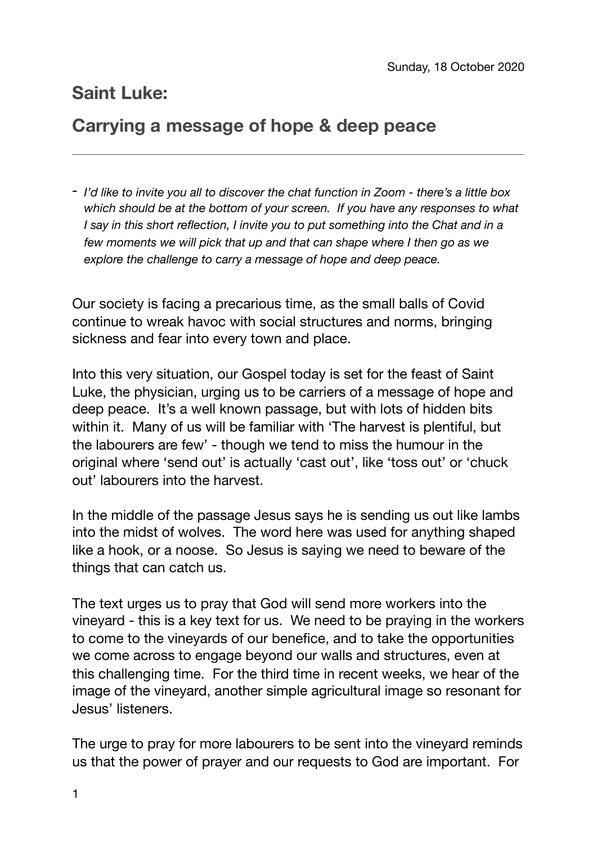## **Saint Luke:**

## **Carrying a message of hope & deep peace**

*- I'd like to invite you all to discover the chat function in Zoom - there's a little box which should be at the bottom of your screen. If you have any responses to what I say in this short reflection, I invite you to put something into the Chat and in a few moments we will pick that up and that can shape where I then go as we explore the challenge to carry a message of hope and deep peace.* 

Our society is facing a precarious time, as the small balls of Covid continue to wreak havoc with social structures and norms, bringing sickness and fear into every town and place.

Into this very situation, our Gospel today is set for the feast of Saint Luke, the physician, urging us to be carriers of a message of hope and deep peace. It's a well known passage, but with lots of hidden bits within it. Many of us will be familiar with 'The harvest is plentiful, but the labourers are few' - though we tend to miss the humour in the original where 'send out' is actually 'cast out', like 'toss out' or 'chuck out' labourers into the harvest.

In the middle of the passage Jesus says he is sending us out like lambs into the midst of wolves. The word here was used for anything shaped like a hook, or a noose. So Jesus is saying we need to beware of the things that can catch us.

The text urges us to pray that God will send more workers into the vineyard - this is a key text for us. We need to be praying in the workers to come to the vineyards of our benefice, and to take the opportunities we come across to engage beyond our walls and structures, even at this challenging time. For the third time in recent weeks, we hear of the image of the vineyard, another simple agricultural image so resonant for Jesus' listeners.

The urge to pray for more labourers to be sent into the vineyard reminds us that the power of prayer and our requests to God are important. For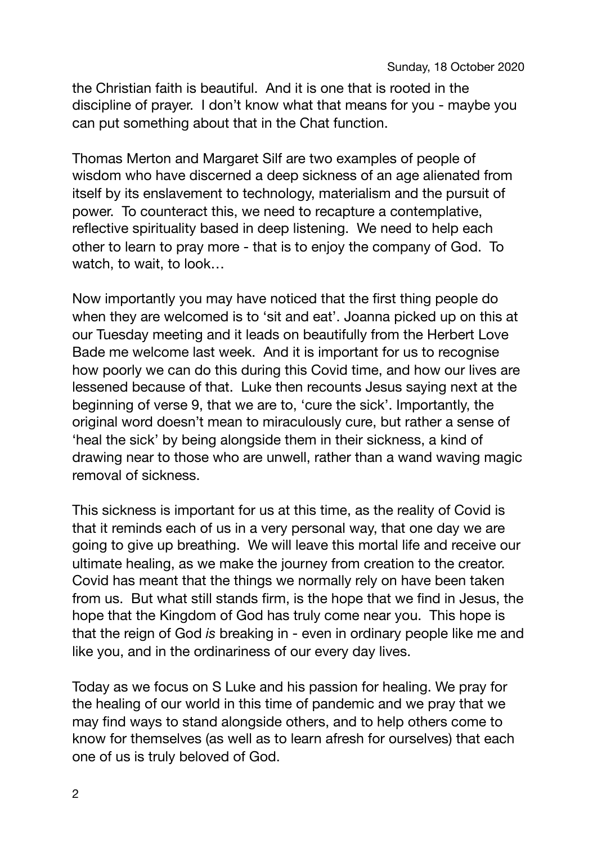the Christian faith is beautiful. And it is one that is rooted in the discipline of prayer. I don't know what that means for you - maybe you can put something about that in the Chat function.

Thomas Merton and Margaret Silf are two examples of people of wisdom who have discerned a deep sickness of an age alienated from itself by its enslavement to technology, materialism and the pursuit of power. To counteract this, we need to recapture a contemplative, reflective spirituality based in deep listening. We need to help each other to learn to pray more - that is to enjoy the company of God. To watch, to wait, to look…

Now importantly you may have noticed that the first thing people do when they are welcomed is to 'sit and eat'. Joanna picked up on this at our Tuesday meeting and it leads on beautifully from the Herbert Love Bade me welcome last week. And it is important for us to recognise how poorly we can do this during this Covid time, and how our lives are lessened because of that. Luke then recounts Jesus saying next at the beginning of verse 9, that we are to, 'cure the sick'. Importantly, the original word doesn't mean to miraculously cure, but rather a sense of 'heal the sick' by being alongside them in their sickness, a kind of drawing near to those who are unwell, rather than a wand waving magic removal of sickness.

This sickness is important for us at this time, as the reality of Covid is that it reminds each of us in a very personal way, that one day we are going to give up breathing. We will leave this mortal life and receive our ultimate healing, as we make the journey from creation to the creator. Covid has meant that the things we normally rely on have been taken from us. But what still stands firm, is the hope that we find in Jesus, the hope that the Kingdom of God has truly come near you. This hope is that the reign of God *is* breaking in - even in ordinary people like me and like you, and in the ordinariness of our every day lives.

Today as we focus on S Luke and his passion for healing. We pray for the healing of our world in this time of pandemic and we pray that we may find ways to stand alongside others, and to help others come to know for themselves (as well as to learn afresh for ourselves) that each one of us is truly beloved of God.